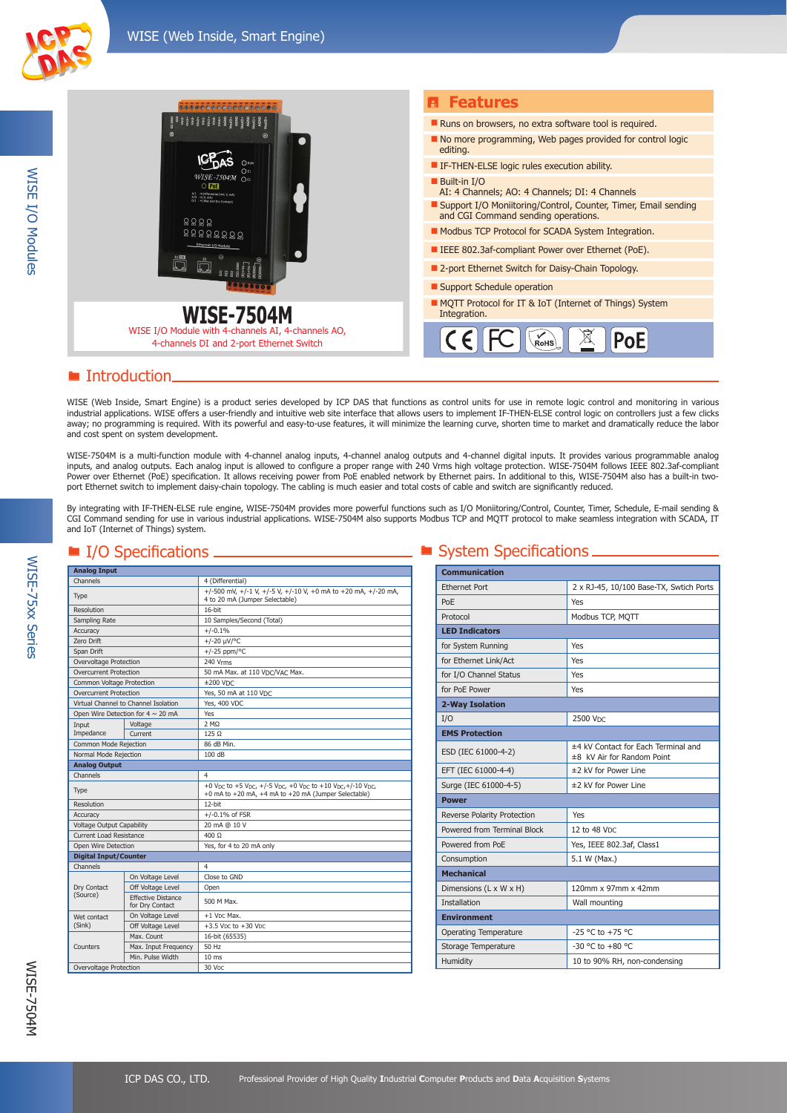WISE I/O Modules

**WISE I/O Modules** 



## ■ Introduction

WISE (Web Inside, Smart Engine) is a product series developed by ICP DAS that functions as control units for use in remote logic control and monitoring in various industrial applications. WISE offers a user-friendly and intuitive web site interface that allows users to implement IF-THEN-ELSE control logic on controllers just a few clicks away; no programming is required. With its powerful and easy-to-use features, it will minimize the learning curve, shorten time to market and dramatically reduce the labor and cost spent on system development.

WISE-7504M is a multi-function module with 4-channel analog inputs, 4-channel analog outputs and 4-channel digital inputs. It provides various programmable analog inputs, and analog outputs. Each analog input is allowed to configure a proper range with 240 Vrms high voltage protection. WISE-7504M follows IEEE 802.3af-compliant Power over Ethernet (PoE) specification. It allows receiving power from PoE enabled network by Ethernet pairs. In additional to this, WISE-7504M also has a built-in twoport Ethernet switch to implement daisy-chain topology. The cabling is much easier and total costs of cable and switch are significantly reduced.

By integrating with IF-THEN-ELSE rule engine, WISE-7504M provides more powerful functions such as I/O Moniitoring/Control, Counter, Timer, Schedule, E-mail sending & CGI Command sending for use in various industrial applications. WISE-7504M also supports Modbus TCP and MQTT protocol to make seamless integration with SCADA, IT and IoT (Internet of Things) system.

| <b>Analog Input</b>                  |                                              |                                                                                                                                                                                               |
|--------------------------------------|----------------------------------------------|-----------------------------------------------------------------------------------------------------------------------------------------------------------------------------------------------|
| Channels                             |                                              | 4 (Differential)                                                                                                                                                                              |
| Type                                 |                                              | +/-500 mV, +/-1 V, +/-5 V, +/-10 V, +0 mA to +20 mA, +/-20 mA,<br>4 to 20 mA (Jumper Selectable)                                                                                              |
| Resolution                           |                                              | 16-bit                                                                                                                                                                                        |
| Sampling Rate                        |                                              | 10 Samples/Second (Total)                                                                                                                                                                     |
| Accuracy                             |                                              | $+/-0.1%$                                                                                                                                                                                     |
| Zero Drift                           |                                              | $+/-20 \mu V$ /°C                                                                                                                                                                             |
| Span Drift                           |                                              | $+/-25$ ppm/°C                                                                                                                                                                                |
| Overvoltage Protection               |                                              | 240 Vrms                                                                                                                                                                                      |
| <b>Overcurrent Protection</b>        |                                              | 50 mA Max. at 110 VDC/VAC Max.                                                                                                                                                                |
| Common Voltage Protection            |                                              | $±200$ V <sub>DC</sub>                                                                                                                                                                        |
| <b>Overcurrent Protection</b>        |                                              | Yes, 50 mA at 110 VDC                                                                                                                                                                         |
| Virtual Channel to Channel Isolation |                                              | <b>Yes, 400 VDC</b>                                                                                                                                                                           |
|                                      | Open Wire Detection for $4 \sim 20$ mA       | Yes                                                                                                                                                                                           |
| Input                                | Voltage                                      | 2 MO                                                                                                                                                                                          |
| Impedance                            | Current                                      | 125 Q                                                                                                                                                                                         |
| Common Mode Rejection                |                                              | 86 dB Min.                                                                                                                                                                                    |
| Normal Mode Rejection                |                                              | 100 dB                                                                                                                                                                                        |
| <b>Analog Output</b>                 |                                              |                                                                                                                                                                                               |
| Channels                             |                                              | $\overline{\mathbf{4}}$                                                                                                                                                                       |
| Type                                 |                                              | +0 V <sub>DC</sub> to +5 V <sub>DC</sub> , +/-5 V <sub>DC</sub> , +0 V <sub>DC</sub> to +10 V <sub>DC</sub> , +/-10 V <sub>DC</sub> ,<br>+0 mA to +20 mA, +4 mA to +20 mA (Jumper Selectable) |
| Resolution                           |                                              | $12$ -bit                                                                                                                                                                                     |
| Accuracy                             |                                              | $+/-0.1%$ of FSR                                                                                                                                                                              |
| Voltage Output Capability            |                                              | 20 mA @ 10 V                                                                                                                                                                                  |
| <b>Current Load Resistance</b>       |                                              | $400 \Omega$                                                                                                                                                                                  |
| Open Wire Detection                  |                                              | Yes, for 4 to 20 mA only                                                                                                                                                                      |
| <b>Digital Input/Counter</b>         |                                              |                                                                                                                                                                                               |
| Channels                             |                                              | $\overline{\mathbf{4}}$                                                                                                                                                                       |
|                                      | On Voltage Level                             | Close to GND                                                                                                                                                                                  |
| Dry Contact                          | Off Voltage Level                            | Open                                                                                                                                                                                          |
| (Source)                             | <b>Effective Distance</b><br>for Dry Contact | 500 M Max.                                                                                                                                                                                    |
| Wet contact<br>(Sink)                | On Voltage Level                             | +1 V <sub>DC</sub> Max.                                                                                                                                                                       |
|                                      | Off Voltage Level                            | $+3.5$ V <sub>DC</sub> to $+30$ V <sub>DC</sub>                                                                                                                                               |
|                                      | Max. Count                                   | 16-bit (65535)                                                                                                                                                                                |
| Counters                             | Max. Input Frequency                         | 50 Hz                                                                                                                                                                                         |
|                                      | Min. Pulse Width                             | 10 <sub>ms</sub>                                                                                                                                                                              |
| Overvoltage Protection               |                                              | 30 V <sub>DC</sub>                                                                                                                                                                            |

### $\Box$   $\blacksquare$  System Specifications  $\Box$

| <b>Communication</b>         |                                                                   |  |  |
|------------------------------|-------------------------------------------------------------------|--|--|
| <b>Ethernet Port</b>         | 2 x RJ-45, 10/100 Base-TX, Swtich Ports                           |  |  |
| PoF                          | Yes                                                               |  |  |
| Protocol                     | Modbus TCP, MOTT                                                  |  |  |
| <b>LED Indicators</b>        |                                                                   |  |  |
| for System Running           | Yes                                                               |  |  |
| for Ethernet Link/Act        | Yes                                                               |  |  |
| for I/O Channel Status       | Yes                                                               |  |  |
| for PoE Power                | Yes                                                               |  |  |
| 2-Way Isolation              |                                                                   |  |  |
| I/O                          | 2500 Vpc                                                          |  |  |
| <b>EMS Protection</b>        |                                                                   |  |  |
| ESD (IEC 61000-4-2)          | ±4 kV Contact for Each Terminal and<br>±8 kV Air for Random Point |  |  |
| EFT (IEC 61000-4-4)          | ±2 kV for Power Line                                              |  |  |
| Surge (IEC 61000-4-5)        | ±2 kV for Power Line                                              |  |  |
| <b>Power</b>                 |                                                                   |  |  |
| Reverse Polarity Protection  | Yes                                                               |  |  |
| Powered from Terminal Block  | 12 to 48 VDC                                                      |  |  |
| Powered from PoE             | Yes, IEEE 802.3af, Class1                                         |  |  |
| Consumption                  | 5.1 W (Max.)                                                      |  |  |
| <b>Mechanical</b>            |                                                                   |  |  |
| Dimensions (L x W x H)       | 120mm x 97mm x 42mm                                               |  |  |
| <b>Installation</b>          | Wall mounting                                                     |  |  |
| <b>Environment</b>           |                                                                   |  |  |
| <b>Operating Temperature</b> | $-25$ °C to $+75$ °C                                              |  |  |
| Storage Temperature          | -30 °C to +80 °C                                                  |  |  |
| Humidity                     | 10 to 90% RH, non-condensing                                      |  |  |